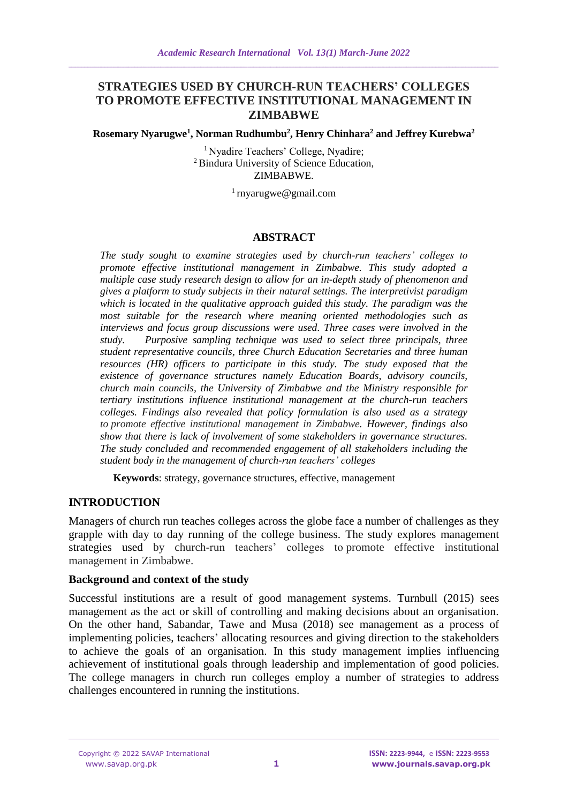# **STRATEGIES USED BY CHURCH-RUN TEACHERS' COLLEGES TO PROMOTE EFFECTIVE INSTITUTIONAL MANAGEMENT IN ZIMBABWE**

#### **Rosemary Nyarugwe<sup>1</sup> , Norman Rudhumbu<sup>2</sup> , Henry Chinhara<sup>2</sup> and Jeffrey Kurebwa<sup>2</sup>**

<sup>1</sup> Nyadire Teachers' College, Nyadire; <sup>2</sup> Bindura University of Science Education, ZIMBABWE.

 $1$  rnyarugwe@gmail.com

#### **ABSTRACT**

*The study sought to examine strategies used by church-run teachers' colleges to promote effective institutional management in Zimbabwe. This study adopted a multiple case study research design to allow for an in-depth study of phenomenon and gives a platform to study subjects in their natural settings. The interpretivist paradigm which is located in the qualitative approach guided this study. The paradigm was the most suitable for the research where meaning oriented methodologies such as interviews and focus group discussions were used. Three cases were involved in the study. Purposive sampling technique was used to select three principals, three student representative councils, three Church Education Secretaries and three human resources (HR) officers to participate in this study. The study exposed that the existence of governance structures namely Education Boards, advisory councils, church main councils, the University of Zimbabwe and the Ministry responsible for tertiary institutions influence institutional management at the church-run teachers colleges. Findings also revealed that policy formulation is also used as a strategy to promote effective institutional management in Zimbabwe. However, findings also show that there is lack of involvement of some stakeholders in governance structures. The study concluded and recommended engagement of all stakeholders including the student body in the management of church-run teachers' colleges*

**Keywords**: strategy, governance structures, effective, management

## **INTRODUCTION**

Managers of church run teaches colleges across the globe face a number of challenges as they grapple with day to day running of the college business. The study explores management strategies used by church-run teachers' colleges to promote effective institutional management in Zimbabwe.

#### **Background and context of the study**

Successful institutions are a result of good management systems. Turnbull (2015) sees management as the act or skill of controlling and making decisions about an organisation. On the other hand, Sabandar, Tawe and Musa (2018) see management as a process of implementing policies, teachers' allocating resources and giving direction to the stakeholders to achieve the goals of an organisation. In this study management implies influencing achievement of institutional goals through leadership and implementation of good policies. The college managers in church run colleges employ a number of strategies to address challenges encountered in running the institutions.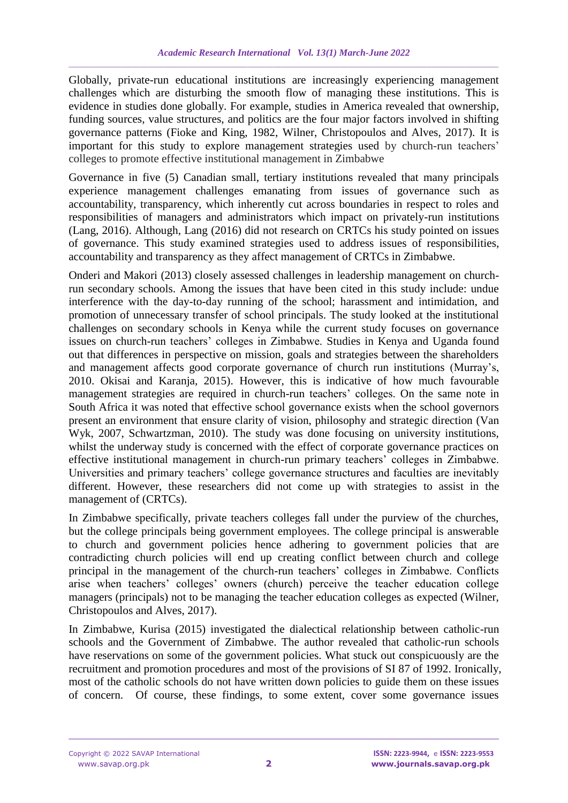Globally, private-run educational institutions are increasingly experiencing management challenges which are disturbing the smooth flow of managing these institutions. This is evidence in studies done globally. For example, studies in America revealed that ownership, funding sources, value structures, and politics are the four major factors involved in shifting governance patterns (Fioke and King, 1982, Wilner, Christopoulos and Alves, 2017). It is important for this study to explore management strategies used by church-run teachers' colleges to promote effective institutional management in Zimbabwe

Governance in five (5) Canadian small, tertiary institutions revealed that many principals experience management challenges emanating from issues of governance such as accountability, transparency, which inherently cut across boundaries in respect to roles and responsibilities of managers and administrators which impact on privately-run institutions (Lang, 2016). Although, Lang (2016) did not research on CRTCs his study pointed on issues of governance. This study examined strategies used to address issues of responsibilities, accountability and transparency as they affect management of CRTCs in Zimbabwe.

Onderi and Makori (2013) closely assessed challenges in leadership management on churchrun secondary schools. Among the issues that have been cited in this study include: undue interference with the day-to-day running of the school; harassment and intimidation, and promotion of unnecessary transfer of school principals. The study looked at the institutional challenges on secondary schools in Kenya while the current study focuses on governance issues on church-run teachers' colleges in Zimbabwe. Studies in Kenya and Uganda found out that differences in perspective on mission, goals and strategies between the shareholders and management affects good corporate governance of church run institutions (Murray's, 2010. Okisai and Karanja, 2015). However, this is indicative of how much favourable management strategies are required in church-run teachers' colleges. On the same note in South Africa it was noted that effective school governance exists when the school governors present an environment that ensure clarity of vision, philosophy and strategic direction (Van Wyk, 2007, Schwartzman, 2010). The study was done focusing on university institutions, whilst the underway study is concerned with the effect of corporate governance practices on effective institutional management in church-run primary teachers' colleges in Zimbabwe. Universities and primary teachers' college governance structures and faculties are inevitably different. However, these researchers did not come up with strategies to assist in the management of (CRTCs).

In Zimbabwe specifically, private teachers colleges fall under the purview of the churches, but the college principals being government employees. The college principal is answerable to church and government policies hence adhering to government policies that are contradicting church policies will end up creating conflict between church and college principal in the management of the church-run teachers' colleges in Zimbabwe. Conflicts arise when teachers' colleges' owners (church) perceive the teacher education college managers (principals) not to be managing the teacher education colleges as expected (Wilner, Christopoulos and Alves, 2017).

In Zimbabwe, Kurisa (2015) investigated the dialectical relationship between catholic-run schools and the Government of Zimbabwe. The author revealed that catholic-run schools have reservations on some of the government policies. What stuck out conspicuously are the recruitment and promotion procedures and most of the provisions of SI 87 of 1992. Ironically, most of the catholic schools do not have written down policies to guide them on these issues of concern. Of course, these findings, to some extent, cover some governance issues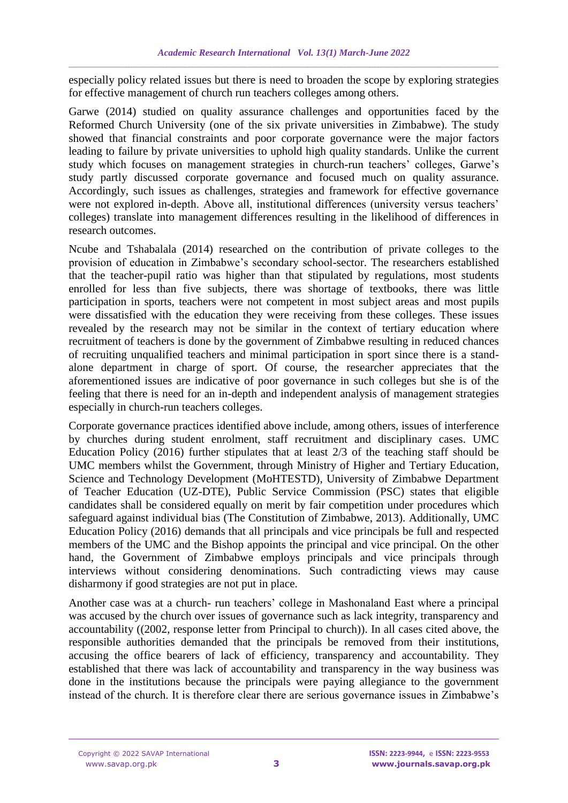especially policy related issues but there is need to broaden the scope by exploring strategies for effective management of church run teachers colleges among others.

Garwe (2014) studied on quality assurance challenges and opportunities faced by the Reformed Church University (one of the six private universities in Zimbabwe). The study showed that financial constraints and poor corporate governance were the major factors leading to failure by private universities to uphold high quality standards. Unlike the current study which focuses on management strategies in church-run teachers' colleges, Garwe's study partly discussed corporate governance and focused much on quality assurance. Accordingly, such issues as challenges, strategies and framework for effective governance were not explored in-depth. Above all, institutional differences (university versus teachers' colleges) translate into management differences resulting in the likelihood of differences in research outcomes.

Ncube and Tshabalala (2014) researched on the contribution of private colleges to the provision of education in Zimbabwe's secondary school-sector. The researchers established that the teacher-pupil ratio was higher than that stipulated by regulations, most students enrolled for less than five subjects, there was shortage of textbooks, there was little participation in sports, teachers were not competent in most subject areas and most pupils were dissatisfied with the education they were receiving from these colleges. These issues revealed by the research may not be similar in the context of tertiary education where recruitment of teachers is done by the government of Zimbabwe resulting in reduced chances of recruiting unqualified teachers and minimal participation in sport since there is a standalone department in charge of sport. Of course, the researcher appreciates that the aforementioned issues are indicative of poor governance in such colleges but she is of the feeling that there is need for an in-depth and independent analysis of management strategies especially in church-run teachers colleges.

Corporate governance practices identified above include, among others, issues of interference by churches during student enrolment, staff recruitment and disciplinary cases. UMC Education Policy (2016) further stipulates that at least 2/3 of the teaching staff should be UMC members whilst the Government, through Ministry of Higher and Tertiary Education, Science and Technology Development (MoHTESTD), University of Zimbabwe Department of Teacher Education (UZ-DTE), Public Service Commission (PSC) states that eligible candidates shall be considered equally on merit by fair competition under procedures which safeguard against individual bias (The Constitution of Zimbabwe, 2013). Additionally, UMC Education Policy (2016) demands that all principals and vice principals be full and respected members of the UMC and the Bishop appoints the principal and vice principal. On the other hand, the Government of Zimbabwe employs principals and vice principals through interviews without considering denominations. Such contradicting views may cause disharmony if good strategies are not put in place.

Another case was at a church- run teachers' college in Mashonaland East where a principal was accused by the church over issues of governance such as lack integrity, transparency and accountability ((2002, response letter from Principal to church)). In all cases cited above, the responsible authorities demanded that the principals be removed from their institutions, accusing the office bearers of lack of efficiency, transparency and accountability. They established that there was lack of accountability and transparency in the way business was done in the institutions because the principals were paying allegiance to the government instead of the church. It is therefore clear there are serious governance issues in Zimbabwe's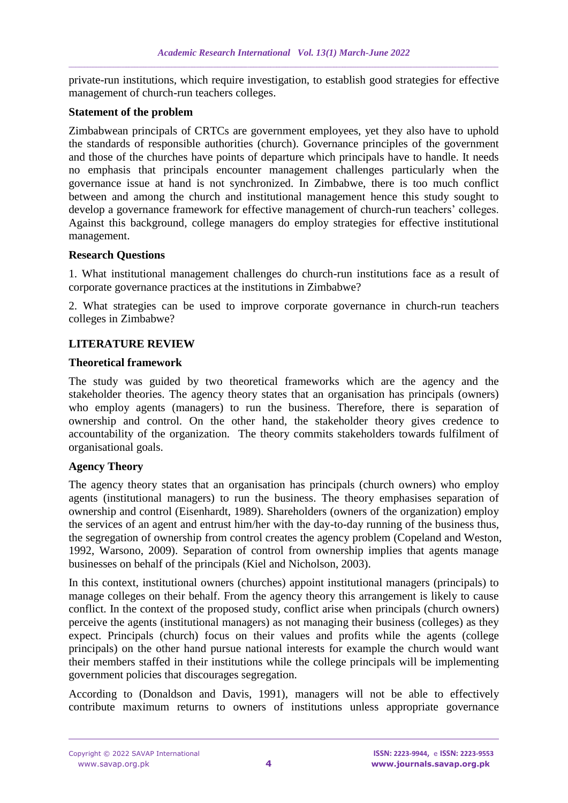private-run institutions, which require investigation, to establish good strategies for effective management of church-run teachers colleges.

### **Statement of the problem**

Zimbabwean principals of CRTCs are government employees, yet they also have to uphold the standards of responsible authorities (church). Governance principles of the government and those of the churches have points of departure which principals have to handle. It needs no emphasis that principals encounter management challenges particularly when the governance issue at hand is not synchronized. In Zimbabwe, there is too much conflict between and among the church and institutional management hence this study sought to develop a governance framework for effective management of church-run teachers' colleges. Against this background, college managers do employ strategies for effective institutional management.

### **Research Questions**

1. What institutional management challenges do church-run institutions face as a result of corporate governance practices at the institutions in Zimbabwe?

2. What strategies can be used to improve corporate governance in church-run teachers colleges in Zimbabwe?

## **LITERATURE REVIEW**

### **Theoretical framework**

The study was guided by two theoretical frameworks which are the agency and the stakeholder theories. The agency theory states that an organisation has principals (owners) who employ agents (managers) to run the business. Therefore, there is separation of ownership and control. On the other hand, the stakeholder theory gives credence to accountability of the organization. The theory commits stakeholders towards fulfilment of organisational goals.

## **Agency Theory**

The agency theory states that an organisation has principals (church owners) who employ agents (institutional managers) to run the business. The theory emphasises separation of ownership and control (Eisenhardt, 1989). Shareholders (owners of the organization) employ the services of an agent and entrust him/her with the day-to-day running of the business thus, the segregation of ownership from control creates the agency problem (Copeland and Weston, 1992, Warsono, 2009). Separation of control from ownership implies that agents manage businesses on behalf of the principals (Kiel and Nicholson, 2003).

In this context, institutional owners (churches) appoint institutional managers (principals) to manage colleges on their behalf. From the agency theory this arrangement is likely to cause conflict. In the context of the proposed study, conflict arise when principals (church owners) perceive the agents (institutional managers) as not managing their business (colleges) as they expect. Principals (church) focus on their values and profits while the agents (college principals) on the other hand pursue national interests for example the church would want their members staffed in their institutions while the college principals will be implementing government policies that discourages segregation.

According to (Donaldson and Davis, 1991), managers will not be able to effectively contribute maximum returns to owners of institutions unless appropriate governance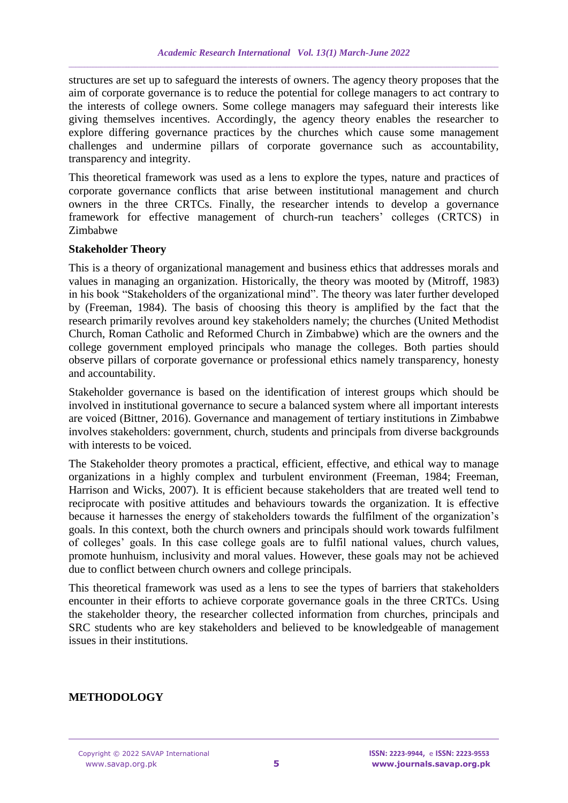structures are set up to safeguard the interests of owners. The agency theory proposes that the aim of corporate governance is to reduce the potential for college managers to act contrary to the interests of college owners. Some college managers may safeguard their interests like giving themselves incentives. Accordingly, the agency theory enables the researcher to explore differing governance practices by the churches which cause some management challenges and undermine pillars of corporate governance such as accountability, transparency and integrity.

This theoretical framework was used as a lens to explore the types, nature and practices of corporate governance conflicts that arise between institutional management and church owners in the three CRTCs. Finally, the researcher intends to develop a governance framework for effective management of church-run teachers' colleges (CRTCS) in Zimbabwe

#### **Stakeholder Theory**

This is a theory of organizational management and business ethics that addresses morals and values in managing an organization. Historically, the theory was mooted by (Mitroff, 1983) in his book "Stakeholders of the organizational mind". The theory was later further developed by (Freeman, 1984). The basis of choosing this theory is amplified by the fact that the research primarily revolves around key stakeholders namely; the churches (United Methodist Church, Roman Catholic and Reformed Church in Zimbabwe) which are the owners and the college government employed principals who manage the colleges. Both parties should observe pillars of corporate governance or professional ethics namely transparency, honesty and accountability.

Stakeholder governance is based on the identification of interest groups which should be involved in institutional governance to secure a balanced system where all important interests are voiced (Bittner, 2016). Governance and management of tertiary institutions in Zimbabwe involves stakeholders: government, church, students and principals from diverse backgrounds with interests to be voiced.

The Stakeholder theory promotes a practical, efficient, effective, and ethical way to manage organizations in a highly complex and turbulent environment (Freeman, 1984; Freeman, Harrison and Wicks, 2007). It is efficient because stakeholders that are treated well tend to reciprocate with positive attitudes and behaviours towards the organization. It is effective because it harnesses the energy of stakeholders towards the fulfilment of the organization's goals. In this context, both the church owners and principals should work towards fulfilment of colleges' goals. In this case college goals are to fulfil national values, church values, promote hunhuism, inclusivity and moral values. However, these goals may not be achieved due to conflict between church owners and college principals.

This theoretical framework was used as a lens to see the types of barriers that stakeholders encounter in their efforts to achieve corporate governance goals in the three CRTCs. Using the stakeholder theory, the researcher collected information from churches, principals and SRC students who are key stakeholders and believed to be knowledgeable of management issues in their institutions.

# **METHODOLOGY**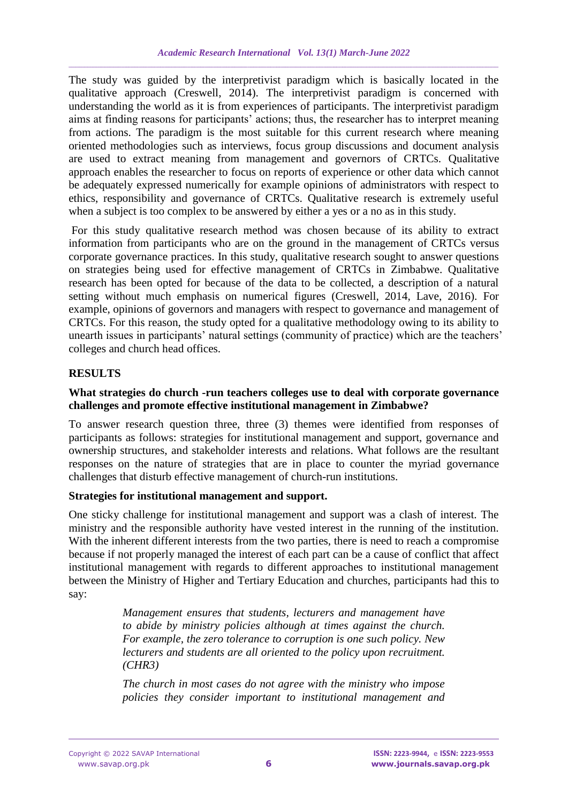The study was guided by the interpretivist paradigm which is basically located in the qualitative approach (Creswell, 2014). The interpretivist paradigm is concerned with understanding the world as it is from experiences of participants. The interpretivist paradigm aims at finding reasons for participants' actions; thus, the researcher has to interpret meaning from actions. The paradigm is the most suitable for this current research where meaning oriented methodologies such as interviews, focus group discussions and document analysis are used to extract meaning from management and governors of CRTCs. Qualitative approach enables the researcher to focus on reports of experience or other data which cannot be adequately expressed numerically for example opinions of administrators with respect to ethics, responsibility and governance of CRTCs. Qualitative research is extremely useful when a subject is too complex to be answered by either a yes or a no as in this study.

For this study qualitative research method was chosen because of its ability to extract information from participants who are on the ground in the management of CRTCs versus corporate governance practices. In this study, qualitative research sought to answer questions on strategies being used for effective management of CRTCs in Zimbabwe. Qualitative research has been opted for because of the data to be collected, a description of a natural setting without much emphasis on numerical figures (Creswell, 2014, Lave, 2016). For example, opinions of governors and managers with respect to governance and management of CRTCs. For this reason, the study opted for a qualitative methodology owing to its ability to unearth issues in participants' natural settings (community of practice) which are the teachers' colleges and church head offices.

# **RESULTS**

## **What strategies do church -run teachers colleges use to deal with corporate governance challenges and promote effective institutional management in Zimbabwe?**

To answer research question three, three (3) themes were identified from responses of participants as follows: strategies for institutional management and support, governance and ownership structures, and stakeholder interests and relations. What follows are the resultant responses on the nature of strategies that are in place to counter the myriad governance challenges that disturb effective management of church-run institutions.

## **Strategies for institutional management and support.**

One sticky challenge for institutional management and support was a clash of interest. The ministry and the responsible authority have vested interest in the running of the institution. With the inherent different interests from the two parties, there is need to reach a compromise because if not properly managed the interest of each part can be a cause of conflict that affect institutional management with regards to different approaches to institutional management between the Ministry of Higher and Tertiary Education and churches, participants had this to say:

> *Management ensures that students, lecturers and management have to abide by ministry policies although at times against the church. For example, the zero tolerance to corruption is one such policy. New lecturers and students are all oriented to the policy upon recruitment. (CHR3)*

> *The church in most cases do not agree with the ministry who impose policies they consider important to institutional management and*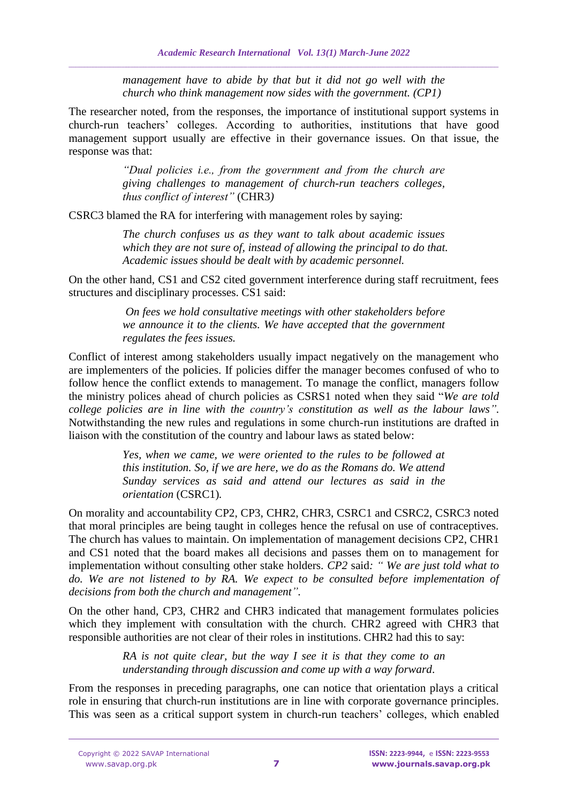*management have to abide by that but it did not go well with the church who think management now sides with the government. (CP1)*

The researcher noted, from the responses, the importance of institutional support systems in church-run teachers' colleges. According to authorities, institutions that have good management support usually are effective in their governance issues. On that issue, the response was that:

> *"Dual policies i.e., from the government and from the church are giving challenges to management of church-run teachers colleges, thus conflict of interest"* (CHR3*)*

CSRC3 blamed the RA for interfering with management roles by saying:

*The church confuses us as they want to talk about academic issues which they are not sure of, instead of allowing the principal to do that. Academic issues should be dealt with by academic personnel.*

On the other hand, CS1 and CS2 cited government interference during staff recruitment, fees structures and disciplinary processes. CS1 said:

> *On fees we hold consultative meetings with other stakeholders before we announce it to the clients. We have accepted that the government regulates the fees issues.*

Conflict of interest among stakeholders usually impact negatively on the management who are implementers of the policies. If policies differ the manager becomes confused of who to follow hence the conflict extends to management. To manage the conflict, managers follow the ministry polices ahead of church policies as CSRS1 noted when they said "*We are told college policies are in line with the country's constitution as well as the labour laws".*  Notwithstanding the new rules and regulations in some church-run institutions are drafted in liaison with the constitution of the country and labour laws as stated below:

> *Yes, when we came, we were oriented to the rules to be followed at this institution. So, if we are here, we do as the Romans do. We attend Sunday services as said and attend our lectures as said in the orientation* (CSRC1)*.*

On morality and accountability CP2, CP3, CHR2, CHR3, CSRC1 and CSRC2, CSRC3 noted that moral principles are being taught in colleges hence the refusal on use of contraceptives. The church has values to maintain. On implementation of management decisions CP2, CHR1 and CS1 noted that the board makes all decisions and passes them on to management for implementation without consulting other stake holders. *CP2* said*: " We are just told what to do. We are not listened to by RA. We expect to be consulted before implementation of decisions from both the church and management".*

On the other hand, CP3, CHR2 and CHR3 indicated that management formulates policies which they implement with consultation with the church. CHR2 agreed with CHR3 that responsible authorities are not clear of their roles in institutions. CHR2 had this to say:

> *RA is not quite clear, but the way I see it is that they come to an understanding through discussion and come up with a way forward*.

From the responses in preceding paragraphs, one can notice that orientation plays a critical role in ensuring that church-run institutions are in line with corporate governance principles. This was seen as a critical support system in church-run teachers' colleges, which enabled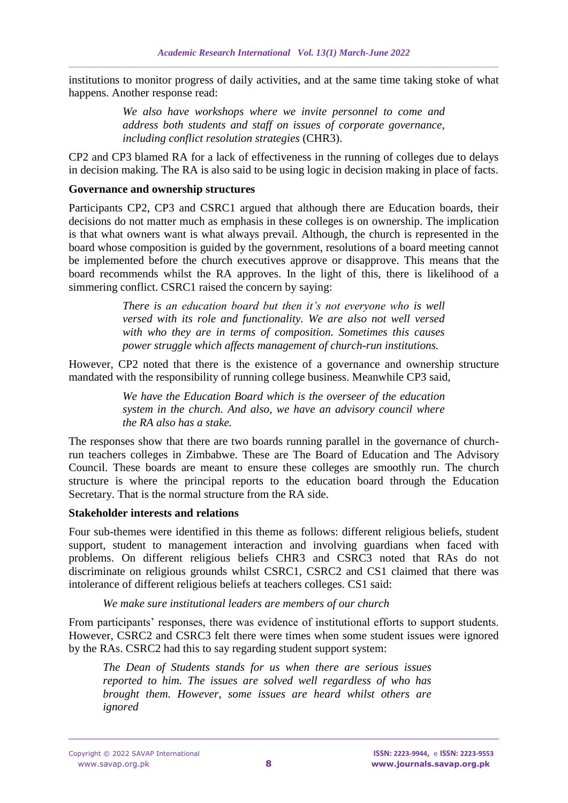institutions to monitor progress of daily activities, and at the same time taking stoke of what happens. Another response read:

> *We also have workshops where we invite personnel to come and address both students and staff on issues of corporate governance, including conflict resolution strategies* (CHR3).

CP2 and CP3 blamed RA for a lack of effectiveness in the running of colleges due to delays in decision making. The RA is also said to be using logic in decision making in place of facts.

## **Governance and ownership structures**

Participants CP2, CP3 and CSRC1 argued that although there are Education boards, their decisions do not matter much as emphasis in these colleges is on ownership. The implication is that what owners want is what always prevail. Although, the church is represented in the board whose composition is guided by the government, resolutions of a board meeting cannot be implemented before the church executives approve or disapprove. This means that the board recommends whilst the RA approves. In the light of this, there is likelihood of a simmering conflict. CSRC1 raised the concern by saying:

> *There is an education board but then it's not everyone who is well versed with its role and functionality. We are also not well versed with who they are in terms of composition. Sometimes this causes power struggle which affects management of church-run institutions.*

However, CP2 noted that there is the existence of a governance and ownership structure mandated with the responsibility of running college business. Meanwhile CP3 said,

> *We have the Education Board which is the overseer of the education system in the church. And also, we have an advisory council where the RA also has a stake.*

The responses show that there are two boards running parallel in the governance of churchrun teachers colleges in Zimbabwe. These are The Board of Education and The Advisory Council. These boards are meant to ensure these colleges are smoothly run. The church structure is where the principal reports to the education board through the Education Secretary. That is the normal structure from the RA side.

#### **Stakeholder interests and relations**

Four sub-themes were identified in this theme as follows: different religious beliefs, student support, student to management interaction and involving guardians when faced with problems. On different religious beliefs CHR3 and CSRC3 noted that RAs do not discriminate on religious grounds whilst CSRC1, CSRC2 and CS1 claimed that there was intolerance of different religious beliefs at teachers colleges. CS1 said:

*We make sure institutional leaders are members of our church*

From participants' responses, there was evidence of institutional efforts to support students. However, CSRC2 and CSRC3 felt there were times when some student issues were ignored by the RAs. CSRC2 had this to say regarding student support system:

*The Dean of Students stands for us when there are serious issues reported to him. The issues are solved well regardless of who has brought them. However, some issues are heard whilst others are ignored*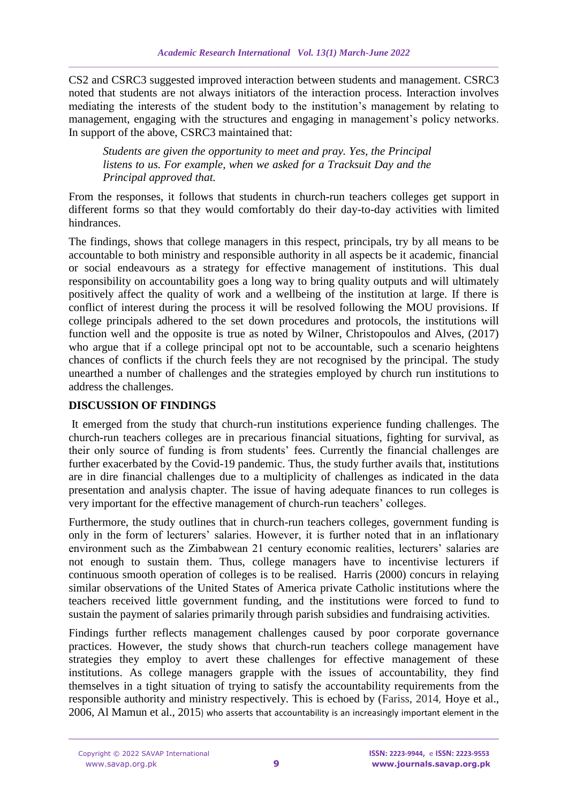CS2 and CSRC3 suggested improved interaction between students and management. CSRC3 noted that students are not always initiators of the interaction process. Interaction involves mediating the interests of the student body to the institution's management by relating to management, engaging with the structures and engaging in management's policy networks. In support of the above, CSRC3 maintained that:

*Students are given the opportunity to meet and pray. Yes, the Principal listens to us. For example, when we asked for a Tracksuit Day and the Principal approved that.*

From the responses, it follows that students in church-run teachers colleges get support in different forms so that they would comfortably do their day-to-day activities with limited hindrances.

The findings, shows that college managers in this respect, principals, try by all means to be accountable to both ministry and responsible authority in all aspects be it academic, financial or social endeavours as a strategy for effective management of institutions. This dual responsibility on accountability goes a long way to bring quality outputs and will ultimately positively affect the quality of work and a wellbeing of the institution at large. If there is conflict of interest during the process it will be resolved following the MOU provisions. If college principals adhered to the set down procedures and protocols, the institutions will function well and the opposite is true as noted by Wilner, Christopoulos and Alves, (2017) who argue that if a college principal opt not to be accountable, such a scenario heightens chances of conflicts if the church feels they are not recognised by the principal. The study unearthed a number of challenges and the strategies employed by church run institutions to address the challenges.

# **DISCUSSION OF FINDINGS**

It emerged from the study that church-run institutions experience funding challenges. The church-run teachers colleges are in precarious financial situations, fighting for survival, as their only source of funding is from students' fees. Currently the financial challenges are further exacerbated by the Covid-19 pandemic. Thus, the study further avails that, institutions are in dire financial challenges due to a multiplicity of challenges as indicated in the data presentation and analysis chapter. The issue of having adequate finances to run colleges is very important for the effective management of church-run teachers' colleges.

Furthermore, the study outlines that in church-run teachers colleges, government funding is only in the form of lecturers' salaries. However, it is further noted that in an inflationary environment such as the Zimbabwean 21 century economic realities, lecturers' salaries are not enough to sustain them. Thus, college managers have to incentivise lecturers if continuous smooth operation of colleges is to be realised. Harris (2000) concurs in relaying similar observations of the United States of America private Catholic institutions where the teachers received little government funding, and the institutions were forced to fund to sustain the payment of salaries primarily through parish subsidies and fundraising activities.

Findings further reflects management challenges caused by poor corporate governance practices. However, the study shows that church-run teachers college management have strategies they employ to avert these challenges for effective management of these institutions. As college managers grapple with the issues of accountability, they find themselves in a tight situation of trying to satisfy the accountability requirements from the responsible authority and ministry respectively. This is echoed by (Fariss, 2014, Hoye et al., 2006, Al Mamun et al., 2015) who asserts that accountability is an increasingly important element in the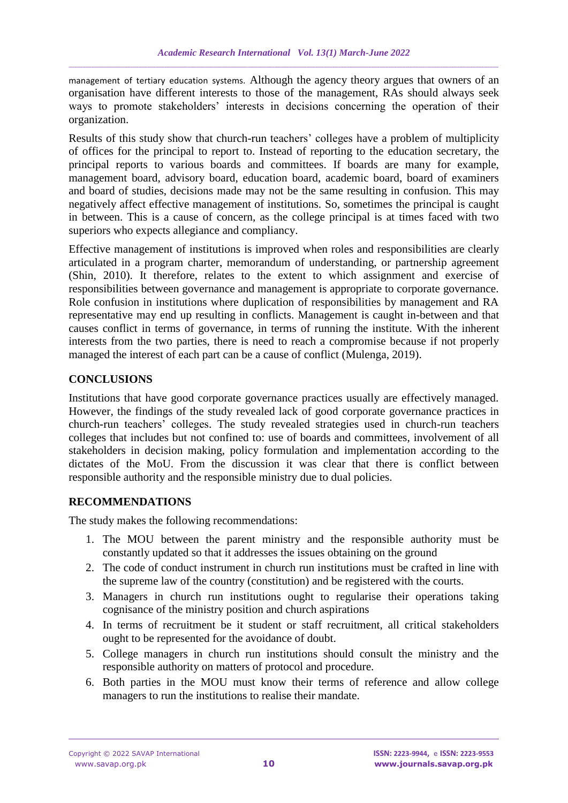management of tertiary education systems. Although the agency theory argues that owners of an organisation have different interests to those of the management, RAs should always seek ways to promote stakeholders' interests in decisions concerning the operation of their organization.

Results of this study show that church-run teachers' colleges have a problem of multiplicity of offices for the principal to report to. Instead of reporting to the education secretary, the principal reports to various boards and committees. If boards are many for example, management board, advisory board, education board, academic board, board of examiners and board of studies, decisions made may not be the same resulting in confusion. This may negatively affect effective management of institutions. So, sometimes the principal is caught in between. This is a cause of concern, as the college principal is at times faced with two superiors who expects allegiance and compliancy.

Effective management of institutions is improved when roles and responsibilities are clearly articulated in a program charter, memorandum of understanding, or partnership agreement (Shin, 2010). It therefore, relates to the extent to which assignment and exercise of responsibilities between governance and management is appropriate to corporate governance. Role confusion in institutions where duplication of responsibilities by management and RA representative may end up resulting in conflicts. Management is caught in-between and that causes conflict in terms of governance, in terms of running the institute. With the inherent interests from the two parties, there is need to reach a compromise because if not properly managed the interest of each part can be a cause of conflict (Mulenga, 2019).

# **CONCLUSIONS**

Institutions that have good corporate governance practices usually are effectively managed. However, the findings of the study revealed lack of good corporate governance practices in church-run teachers' colleges. The study revealed strategies used in church-run teachers colleges that includes but not confined to: use of boards and committees, involvement of all stakeholders in decision making, policy formulation and implementation according to the dictates of the MoU. From the discussion it was clear that there is conflict between responsible authority and the responsible ministry due to dual policies.

# **RECOMMENDATIONS**

The study makes the following recommendations:

- 1. The MOU between the parent ministry and the responsible authority must be constantly updated so that it addresses the issues obtaining on the ground
- 2. The code of conduct instrument in church run institutions must be crafted in line with the supreme law of the country (constitution) and be registered with the courts.
- 3. Managers in church run institutions ought to regularise their operations taking cognisance of the ministry position and church aspirations
- 4. In terms of recruitment be it student or staff recruitment, all critical stakeholders ought to be represented for the avoidance of doubt.
- 5. College managers in church run institutions should consult the ministry and the responsible authority on matters of protocol and procedure.
- 6. Both parties in the MOU must know their terms of reference and allow college managers to run the institutions to realise their mandate.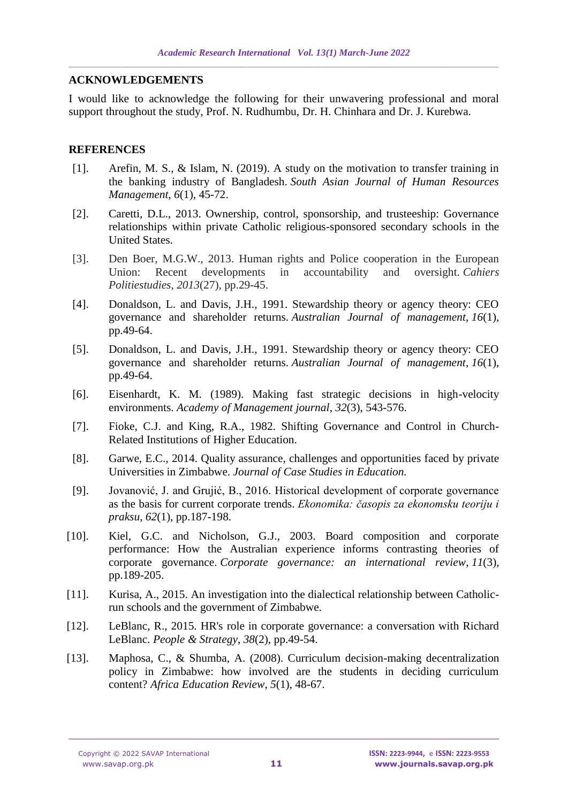## **ACKNOWLEDGEMENTS**

I would like to acknowledge the following for their unwavering professional and moral support throughout the study, Prof. N. Rudhumbu, Dr. H. Chinhara and Dr. J. Kurebwa.

## **REFERENCES**

- [1]. Arefin, M. S., & Islam, N. (2019). A study on the motivation to transfer training in the banking industry of Bangladesh. *South Asian Journal of Human Resources Management*, *6*(1), 45-72.
- [2]. Caretti, D.L., 2013. Ownership, control, sponsorship, and trusteeship: Governance relationships within private Catholic religious-sponsored secondary schools in the United States.
- [3]. Den Boer, M.G.W., 2013. Human rights and Police cooperation in the European Union: Recent developments in accountability and oversight. *Cahiers Politiestudies*, *2013*(27), pp.29-45.
- [4]. Donaldson, L. and Davis, J.H., 1991. Stewardship theory or agency theory: CEO governance and shareholder returns. *Australian Journal of management*, *16*(1), pp.49-64.
- [5]. Donaldson, L. and Davis, J.H., 1991. Stewardship theory or agency theory: CEO governance and shareholder returns. *Australian Journal of management*, *16*(1), pp.49-64.
- [6]. Eisenhardt, K. M. (1989). Making fast strategic decisions in high-velocity environments. *Academy of Management journal*, *32*(3), 543-576.
- [7]. Fioke, C.J. and King, R.A., 1982. Shifting Governance and Control in Church-Related Institutions of Higher Education.
- [8]. Garwe, E.C., 2014. Quality assurance, challenges and opportunities faced by private Universities in Zimbabwe. *Journal of Case Studies in Education.*
- [9]. Jovanović, J. and Grujić, B., 2016. Historical development of corporate governance as the basis for current corporate trends. *Ekonomika: časopis za ekonomsku teoriju i praksu*, *62*(1), pp.187-198.
- [10]. Kiel, G.C. and Nicholson, G.J., 2003. Board composition and corporate performance: How the Australian experience informs contrasting theories of corporate governance. *Corporate governance: an international review*, *11*(3), pp.189-205.
- [11]. Kurisa, A., 2015. An investigation into the dialectical relationship between Catholicrun schools and the government of Zimbabwe.
- [12]. LeBlanc, R., 2015. HR's role in corporate governance: a conversation with Richard LeBlanc. *People & Strategy*, *38*(2), pp.49-54.
- [13]. Maphosa, C., & Shumba, A. (2008). Curriculum decision-making decentralization policy in Zimbabwe: how involved are the students in deciding curriculum content? *Africa Education Review*, *5*(1), 48-67.